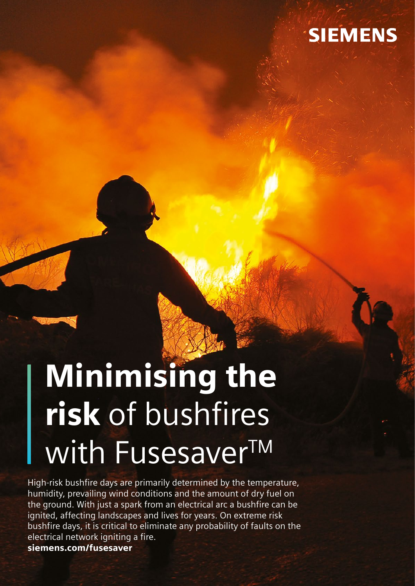

# Minimising the risk of bushfires with FusesaverTM

High-risk bushfire days are primarily determined by the temperature, humidity, prevailing wind conditions and the amount of dry fuel on the ground. With just a spark from an electrical arc a bushfire can be ignited, affecting landscapes and lives for years. On extreme risk bushfire days, it is critical to eliminate any probability of faults on the electrical network igniting a fire. siemens.com/fusesaver